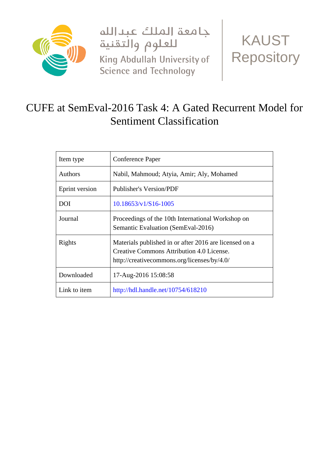

جامعة الملك عبدالله للعلوم والتقنية King Abdullah University of Science and Technology



# CUFE at SemEval-2016 Task 4: A Gated Recurrent Model for Sentiment Classification

| Item type      | Conference Paper                                                                                                                                   |
|----------------|----------------------------------------------------------------------------------------------------------------------------------------------------|
| <b>Authors</b> | Nabil, Mahmoud; Atyia, Amir; Aly, Mohamed                                                                                                          |
| Eprint version | <b>Publisher's Version/PDF</b>                                                                                                                     |
| <b>DOI</b>     | $10.18653/v1/S16-1005$                                                                                                                             |
| Journal        | Proceedings of the 10th International Workshop on<br>Semantic Evaluation (SemEval-2016)                                                            |
| Rights         | Materials published in or after 2016 are licensed on a<br>Creative Commons Attribution 4.0 License.<br>http://creativecommons.org/licenses/by/4.0/ |
| Downloaded     | 17-Aug-2016 15:08:58                                                                                                                               |
| Link to item   | http://hdl.handle.net/10754/618210                                                                                                                 |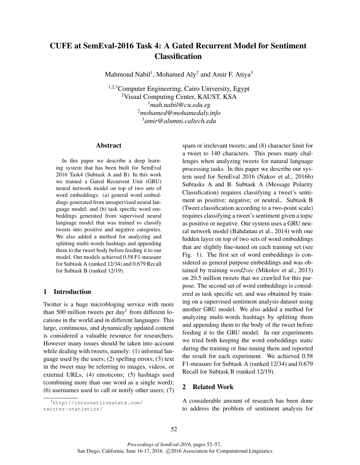# CUFE at SemEval-2016 Task 4: A Gated Recurrent Model for Sentiment Classification

Mahmoud Nabil<sup>1</sup>, Mohamed Aly<sup>2</sup> and Amir F. Atiya<sup>3</sup>

1,2,3 Computer Engineering, Cairo University, Egypt <sup>2</sup>Visual Computing Center, KAUST, KSA <sup>1</sup>*mah.nabil@cu.edu.eg* <sup>2</sup>*mohamed@mohamedaly.info* <sup>3</sup>*amir@alumni.caltech.edu*

### Abstract

In this paper we describe a deep learning system that has been built for SemEval 2016 Task4 (Subtask A and B). In this work we trained a Gated Recurrent Unit (GRU) neural network model on top of two sets of word embeddings: (a) general word embeddings generated from unsupervised neural language model; and (b) task specific word embeddings generated from supervised neural language model that was trained to classify tweets into positive and negative categories. We also added a method for analyzing and splitting multi-words hashtags and appending them to the tweet body before feeding it to our model. Our models achieved 0.58 F1-measure for Subtask A (ranked 12/34) and 0.679 Recall for Subtask B (ranked 12/19).

# 1 Introduction

Twitter is a huge microbloging service with more than 500 million tweets per day<sup>1</sup> from different locations in the world and in different languages. This large, continuous, and dynamically updated content is considered a valuable resource for researchers. However many issues should be taken into account while dealing with tweets, namely: (1) informal language used by the users; (2) spelling errors; (3) text in the tweet may be referring to images, videos, or external URLs; (4) emoticons; (5) hashtags used (combining more than one word as a single word); (6) usernames used to call or notify other users; (7) spam or irrelevant tweets; and (8) character limit for a tweet to 140 characters. This poses many challenges when analyzing tweets for natural language processing tasks. In this paper we describe our system used for SemEval 2016 (Nakov et al., 2016b) Subtasks A and B. Subtask A (Message Polarity Classification) requires classifying a tweet's sentiment as positive; negative; or neutral,. Subtask B (Tweet classification according to a two-point scale) requires classifying a tweet's sentiment given a topic as positive or negative. Our system uses a GRU neural network model (Bahdanau et al., 2014) with one hidden layer on top of two sets of word embeddings that are slightly fine-tuned on each training set (see Fig. 1). The first set of word embeddings is considered as general purpose embeddings and was obtained by training *word2vec* (Mikolov et al., 2013) on 20.5 million tweets that we crawled for this purpose. The second set of word embeddings is considered as task specific set, and was obtained by training on a supervised sentiment analysis dataset using another GRU model. We also added a method for analyzing multi-words hashtags by splitting them and appending them to the body of the tweet before feeding it to the GRU model. In our experiments we tried both keeping the word embeddings static during the training or fine-tuning them and reported the result for each experiment. We achieved 0.58 F1-measure for Subtask A (ranked 12/34) and 0.679 Recall for Subtask B (ranked 12/19).

# 2 Related Work

A considerable amount of research has been done to address the problem of sentiment analysis for

<sup>1</sup>http://internetlivestats.com/ twitter-statistics/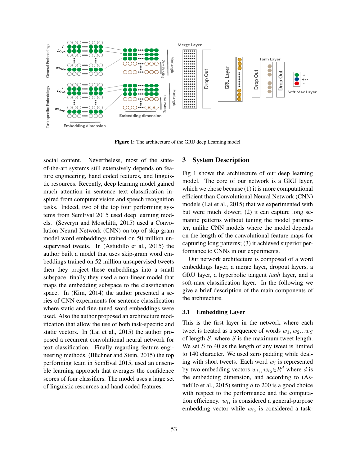

Figure 1: The architecture of the GRU deep Learning model

social content. Nevertheless, most of the stateof-the-art systems still extensively depends on feature engineering, hand coded features, and linguistic resources. Recently, deep learning model gained much attention in sentence text classification inspired from computer vision and speech recognition tasks. Indeed, two of the top four performing systems from SemEval 2015 used deep learning models. (Severyn and Moschitti, 2015) used a Convolution Neural Network (CNN) on top of skip-gram model word embeddings trained on 50 million unsupervised tweets. In (Astudillo et al., 2015) the author built a model that uses skip-gram word embeddings trained on 52 million unsupervised tweets then they project these embeddings into a small subspace, finally they used a non-linear model that maps the embedding subspace to the classification space. In (Kim, 2014) the author presented a series of CNN experiments for sentence classification where static and fine-tuned word embeddings were used. Also the author proposed an architecture modification that allow the use of both task-specific and static vectors. In (Lai et al., 2015) the author proposed a recurrent convolutional neural network for text classification. Finally regarding feature engineering methods, (Büchner and Stein, 2015) the top performing team in SemEval 2015, used an ensemble learning approach that averages the confidence scores of four classifiers. The model uses a large set of linguistic resources and hand coded features.

#### 3 System Description

Fig 1 shows the architecture of our deep learning model. The core of our network is a GRU layer, which we chose because (1) it is more computational efficient than Convolutional Neural Network (CNN) models (Lai et al., 2015) that we experimented with but were much slower; (2) it can capture long semantic patterns without tuning the model parameter, unlike CNN models where the model depends on the length of the convolutional feature maps for capturing long patterns; (3) it achieved superior performance to CNNs in our experiments.

Our network architecture is composed of a word embeddings layer, a merge layer, dropout layers, a GRU layer, a hyperbolic tangent *tanh* layer, and a soft-max classification layer. In the following we give a brief description of the main components of the architecture.

#### 3.1 Embedding Layer

This is the first layer in the network where each tweet is treated as a sequence of words  $w_1, w_2...w_S$ of length  $S$ , where  $S$  is the maximum tweet length. We set  $S$  to 40 as the length of any tweet is limited to 140 character. We used zero padding while dealing with short tweets. Each word  $w_i$  is represented by two embedding vectors  $w_{i_1}, w_{i_2} \in R^d$  where d is the embedding dimension, and according to (Astudillo et al., 2015) setting  $d$  to 200 is a good choice with respect to the performance and the computation efficiency.  $w_{i_1}$  is considered a general-purpose embedding vector while  $w_{i_2}$  is considered a task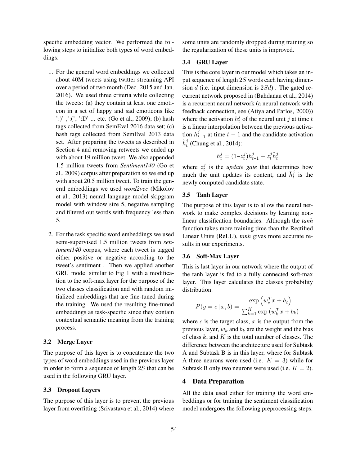specific embedding vector. We performed the following steps to initialize both types of word embeddings:

- 1. For the general word embeddings we collected about 40M tweets using twitter streaming API over a period of two month (Dec. 2015 and Jan. 2016). We used three criteria while collecting the tweets: (a) they contain at least one emoticon in a set of happy and sad emoticons like ':)' ,':(', ':D' ... etc. (Go et al., 2009); (b) hash tags collected from SemEval 2016 data set; (c) hash tags collected from SemEval 2013 data set. After preparing the tweets as described in Section 4 and removing retweets we ended up with about 19 million tweet. We also appended 1.5 million tweets from *Sentiment140* (Go et al., 2009) corpus after preparation so we end up with about 20.5 million tweet. To train the general embeddings we used *word2vec* (Mikolov et al., 2013) neural language model skipgram model with window size 5, negative sampling and filtered out words with frequency less than 5.
- 2. For the task specific word embeddings we used semi-supervised 1.5 million tweets from *sentiment140* corpus, where each tweet is tagged either positive or negative according to the tweet's sentiment . Then we applied another GRU model similar to Fig 1 with a modification to the soft-max layer for the purpose of the two classes classification and with random initialized embeddings that are fine-tuned during the training. We used the resulting fine-tuned embeddings as task-specific since they contain contextual semantic meaning from the training process.

# 3.2 Merge Layer

The purpose of this layer is to concatenate the two types of word embeddings used in the previous layer in order to form a sequence of length  $2S$  that can be used in the following GRU layer.

#### 3.3 Dropout Layers

The purpose of this layer is to prevent the previous layer from overfitting (Srivastava et al., 2014) where some units are randomly dropped during training so the regularization of these units is improved.

#### 3.4 GRU Layer

This is the core layer in our model which takes an input sequence of length 2S words each having dimension d (i.e. input dimension is  $2Sd$ ). The gated recurrent network proposed in (Bahdanau et al., 2014) is a recurrent neural network (a neural network with feedback connection, see (Atiya and Parlos, 2000)) where the activation  $h_t^j$  of the neural unit j at time t is a linear interpolation between the previous activation  $h_t^j$  $t_{t-1}$  at time  $t-1$  and the candidate activation  $\tilde{h}^j_t$  (Chung et al., 2014):

$$
h_t^j = (1 - z_t^j)h_{t-1}^j + z_t^j \tilde{h}_t^j
$$

where  $z_t^j$  is the *update gate* that determines how much the unit updates its content, and  $\tilde{h}_t^j$  is the newly computed candidate state.

#### 3.5 Tanh Layer

The purpose of this layer is to allow the neural network to make complex decisions by learning nonlinear classification boundaries. Although the *tanh* function takes more training time than the Rectified Linear Units (ReLU), *tanh* gives more accurate results in our experiments.

#### 3.6 Soft-Max Layer

This is last layer in our network where the output of the tanh layer is fed to a fully connected soft-max layer. This layer calculates the classes probability distribution.

$$
P(y = c | x, b) = \frac{\exp (w_c^T x + b_c)}{\sum_{k=1}^K \exp (w_k^T x + b_k)}
$$

where  $c$  is the target class,  $x$  is the output from the previous layer,  $w_k$  and  $b_k$  are the weight and the bias of class  $k$ , and  $K$  is the total number of classes. The difference between the architecture used for Subtask A and Subtask B is in this layer, where for Subtask A three neurons were used (i.e.  $K = 3$ ) while for Subtask B only two neurons were used (i.e.  $K = 2$ ).

#### 4 Data Preparation

All the data used either for training the word embeddings or for training the sentiment classification model undergoes the following preprocessing steps: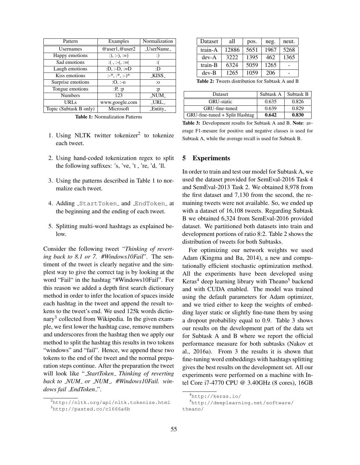| Pattern                | Examples                                 | Normalization     |
|------------------------|------------------------------------------|-------------------|
| <b>Usernames</b>       | $@$ user1, $@$ user2                     | _UserName_        |
| Happy emotions         | $:),:-),:=$                              | :)                |
| Sad emotions           | $: ( \, , \, : \, ( \, , \, : \, = \, ($ | : (               |
| Laugh emotions         | :D, :-D, :=D                             | :D                |
| Kiss emotions          | $:-*, :*, :-)^*$                         | KISS <sub>-</sub> |
| Surprise emotions      | $:O, -o$                                 | $\cdot$ 0         |
| Tongue emotions        | :P, p                                    | : p               |
| <b>Numbers</b>         | 123                                      | NUM <sub>-</sub>  |
| URLs                   | www.google.com                           | _URL_             |
| Topic (Subtask B only) | Microsoft                                | _Entity_          |

Dataset | all | pos.  $neg$ . | neut. train-A 12886 5651 1967 5268 dev-A 3222 1395 462 1365 train-B  $\begin{array}{|c|c|c|c|c|c|c|c|} \hline \end{array}$  6324  $\begin{array}{|c|c|c|c|c|c|} \hline \end{array}$  5059  $\begin{array}{|c|c|c|c|c|c|} \hline \end{array}$  1265  $\begin{array}{|c|c|c|c|c|c|c|c|} \hline \end{array}$ dev-B |  $1265$  |  $1059$  |  $206$  | -

Table 2: Tweets distribution for Subtask A and B

| <b>Dataset</b>                 | Subtask A | Subtask B |
|--------------------------------|-----------|-----------|
| GRU-static                     | 0.635     | 0.826     |
| GRU-fine-tuned                 | 0.639     | 0.829     |
| GRU-fine-tuned + Split Hashtag | 0.642     | 0.830     |

Table 1: Normalization Patterns

- 1. Using NLTK twitter tokenizer<sup>2</sup> to tokenize each tweet.
- 2. Using hand-coded tokenization regex to split the following suffixes: 's, 've, 't , 're, 'd, 'll.
- 3. Using the patterns described in Table 1 to normalize each tweet.
- 4. Adding \_StartToken\_ and \_EndToken\_ at the beginning and the ending of each tweet.
- 5. Splitting multi-word hashtags as explained below.

Consider the following tweet *"Thinking of reverting back to 8.1 or 7. #Windows10Fail*". The sentiment of the tweet is clearly negative and the simplest way to give the correct tag is by looking at the word "Fail" in the hashtag "#Windows10Fail". For this reason we added a depth first search dictionary method in order to infer the location of spaces inside each hashtag in the tweet and append the result tokens to the tweet's end. We used 125k words dictionary<sup>3</sup> collected from Wikipedia. In the given example, we first lower the hashtag case, remove numbers and underscores from the hashtag then we apply our method to split the hashtag this results in two tokens "windows" and "fail". Hence, we append these two tokens to the end of the tweet and the normal preparation steps continue. After the preparation the tweet will look like "*StartToken Thinking of reverting back to NUM or NUM . #Windows10Fail. windows fail EndToken* ".

Table 3: Development results for Subtask A and B. Note: average F1-mesure for positive and negative classes is used for Subtask A, while the average recall is used for Subtask B.

# 5 Experiments

In order to train and test our model for Subtask A, we used the dataset provided for SemEval-2016 Task 4 and SemEval-2013 Task 2. We obtained 8,978 from the first dataset and 7,130 from the second, the remaining tweets were not available. So, we ended up with a dataset of 16,108 tweets. Regarding Subtask B we obtained 6,324 from SemEval-2016 provided dataset. We partitioned both datasets into train and development portions of ratio 8:2. Table 2 shows the distribution of tweets for both Subtasks.

For optimizing our network weights we used Adam (Kingma and Ba, 2014), a new and computationally efficient stochastic optimization method. All the experiments have been developed using Keras<sup>4</sup> deep learning library with Theano<sup>5</sup> backend and with CUDA enabled. The model was trained using the default parameters for Adam optimizer, and we tried either to keep the weights of embedding layer static or slightly fine-tune them by using a dropout probability equal to 0.9. Table 3 shows our results on the development part of the data set for Subtask A and B where we report the official performance measure for both subtasks (Nakov et al., 2016a). From 3 the results it is shown that fine-tuning word embeddings with hashtags splitting gives the best results on the development set. All our experiments were performed on a machine with Intel Core i7-4770 CPU @ 3.40GHz (8 cores), 16GB

<sup>2</sup>http://nltk.org/api/nltk.tokenize.html <sup>3</sup>http://pasted.co/c1666a6b

<sup>4</sup>http://keras.io/

<sup>5</sup>http://deeplearning.net/software/ theano/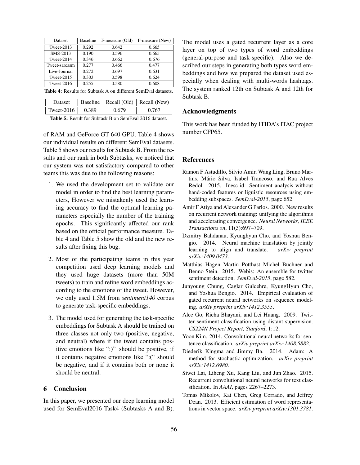| Dataset       | <b>Baseline</b> | F-measure (Old) | F-measure (New) |
|---------------|-----------------|-----------------|-----------------|
| Tweet- $2013$ | 0.292           | 0.642           | 0.665           |
| SMS-2013      | 0.190           | 0.596           | 0.665           |
| Tweet-2014    | 0.346           | 0.662           | 0.676           |
| Tweet-sarcasm | 0.277           | 0.466           | 0.477           |
| Live-Journal  | 0.272           | 0.697           | 0.631           |
| Tweet-2015    | 0.303           | 0.598           | 0.624           |
| Tweet-2016    | 0.255           | 0.580           | 0.608           |

Table 4: Results for Subtask A on different SemEval datasets.

| <b>Dataset</b> |       | Baseline   Recall (Old)   Recall (New) |       |
|----------------|-------|----------------------------------------|-------|
| Tweet- $2016$  | 0.389 | 0.679                                  | 0.767 |

Table 5: Result for Subtask B on SemEval 2016 dataset.

of RAM and GeForce GT 640 GPU. Table 4 shows our individual results on different SemEval datasets. Table 5 shows our results for Subtask B. From the results and our rank in both Subtasks, we noticed that our system was not satisfactory compared to other teams this was due to the following reasons:

- 1. We used the development set to validate our model in order to find the best learning parameters, However we mistakenly used the learning accuracy to find the optimal learning parameters especially the number of the training epochs. This significantly affected our rank based on the official performance measure. Table 4 and Table 5 show the old and the new results after fixing this bug.
- 2. Most of the participating teams in this year competition used deep learning models and they used huge datasets (more than 50M tweets) to train and refine word embeddings according to the emotions of the tweet. However, we only used 1.5M from *sentiment140* corpus to generate task-specific embeddings.
- 3. The model used for generating the task-specific embeddings for Subtask A should be trained on three classes not only two (positive, negative, and neutral) where if the tweet contains positive emotions like ":)" should be positive, if it contains negative emotions like ":(" should be negative, and if it contains both or none it should be neutral.

# 6 Conclusion

In this paper, we presented our deep learning model used for SemEval2016 Task4 (Subtasks A and B). The model uses a gated recurrent layer as a core layer on top of two types of word embeddings (general-purpose and task-specific). Also we described our steps in generating both types word embeddings and how we prepared the dataset used especially when dealing with multi-words hashtags. The system ranked 12th on Subtask A and 12th for Subtask B.

# Acknowledgments

This work has been funded by ITIDA's ITAC project number CFP65.

#### **References**

- Ramon F Astudillo, Silvio Amir, Wang Ling, Bruno Martins, Mário Silva, Isabel Trancoso, and Rua Alves Redol. 2015. Inesc-id: Sentiment analysis without hand-coded features or liguistic resources using embedding subspaces. *SemEval-2015*, page 652.
- Amir F Atiya and Alexander G Parlos. 2000. New results on recurrent network training: unifying the algorithms and accelerating convergence. *Neural Networks, IEEE Transactions on*, 11(3):697–709.
- Dzmitry Bahdanau, Kyunghyun Cho, and Yoshua Bengio. 2014. Neural machine translation by jointly learning to align and translate. *arXiv preprint arXiv:1409.0473*.
- Matthias Hagen Martin Potthast Michel Büchner and Benno Stein. 2015. Webis: An ensemble for twitter sentiment detection. *SemEval-2015*, page 582.
- Junyoung Chung, Caglar Gulcehre, KyungHyun Cho, and Yoshua Bengio. 2014. Empirical evaluation of gated recurrent neural networks on sequence modeling. *arXiv preprint arXiv:1412.3555*.
- Alec Go, Richa Bhayani, and Lei Huang. 2009. Twitter sentiment classification using distant supervision. *CS224N Project Report, Stanford*, 1:12.
- Yoon Kim. 2014. Convolutional neural networks for sentence classification. *arXiv preprint arXiv:1408.5882*.
- Diederik Kingma and Jimmy Ba. 2014. Adam: A method for stochastic optimization. *arXiv preprint arXiv:1412.6980*.
- Siwei Lai, Liheng Xu, Kang Liu, and Jun Zhao. 2015. Recurrent convolutional neural networks for text classification. In *AAAI*, pages 2267–2273.
- Tomas Mikolov, Kai Chen, Greg Corrado, and Jeffrey Dean. 2013. Efficient estimation of word representations in vector space. *arXiv preprint arXiv:1301.3781*.